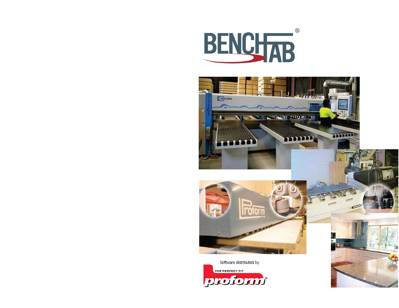





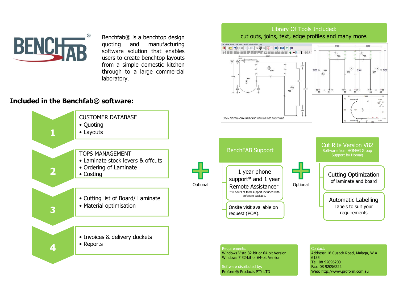

Benchfab® is a benchtop design quoting and manufacturing software solution that enables users to create benchtop layouts from a simple domestic kitchen through to a large commercial laboratory.

## Included in the Benchfab® software:



## Software distributed by: Proform® Products PTY LTD

Fax: 08 92096222 Web: http://www.proform.com.au

Library Of Tools Included: cut outs, joins, text, edge profiles and many more.

 $-1$   $T$   $\approx$ 

 $^{260}_{+}$ 

2372

 $\bigcirc$ <br>740

 $\begin{array}{c} \begin{matrix} \widehat{\mathsf{E}} \end{matrix} \\ \begin{matrix} \mathsf{700} \end{matrix} \end{array}$ 

900

 $\widehat{\mathbf{D}}$ 

 $-35 -$ 35  $\hat{G}$  $700$ 

3100

 $nR$ 

 $\left( \mathrm{H}\right)$ 

 $35$ 

 $900$ 

 $(F)$ 

 $900$ 

**IDC THE EDERGRAT HELC N** 

+ | sisinin | sisipi | pipi | pici | sisipi | 4 | +

 $\begin{picture}(220,20) \put(0,0){\line(1,0){10}} \put(15,0){\line(1,0){10}} \put(25,0){\line(1,0){10}} \put(25,0){\line(1,0){10}} \put(25,0){\line(1,0){10}} \put(25,0){\line(1,0){10}} \put(25,0){\line(1,0){10}} \put(25,0){\line(1,0){10}} \put(25,0){\line(1,0){10}} \put(25,0){\line(1,0){10}} \put(25,0){\line(1,0){10}} \put(25,0){\line($ 

 $4.575$ 

850  $\circledast$